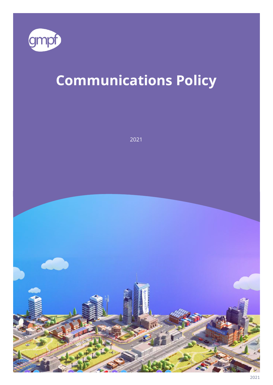

# **Communications Policy**

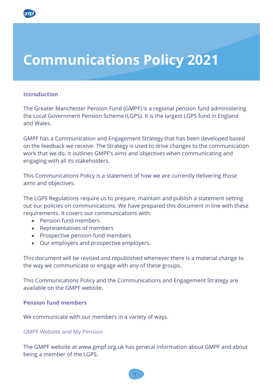## **Communications Policy 2021**

#### **Introduction**

The Greater Manchester Pension Fund (GMPF) is a regional pension fund administering the Local Government Pension Scheme (LGPS). It is the largest LGPS fund in England and Wales.

GMPF has a Communication and Engagement Strategy that has been developed based on the feedback we receive. The Strategy is used to drive changes to the communication work that we do. It outlines GMPF's aims and objectives when communicating and engaging with all its stakeholders.

This Communications Policy is a statement of how we are currently delivering those aims and objectives.

The LGPS Regulations require us to prepare, maintain and publish a statement setting out our policies on communications. We have prepared this document in line with these requirements. It covers our communications with:

- Pension fund members
- Representatives of members
- Prospective pension fund members
- Our employers and prospective employers.

This document will be revised and republished whenever there is a material change to the way we communicate or engage with any of these groups.

This Communications Policy and the Communications and Engagement Strategy are available on the GMPF website.

#### **Pension fund members**

We communicate with our members in a variety of ways.

#### GMPF Website and My Pension

The GMPF website at www.gmpf.org.uk has general information about GMPF and about being a member of the LGPS.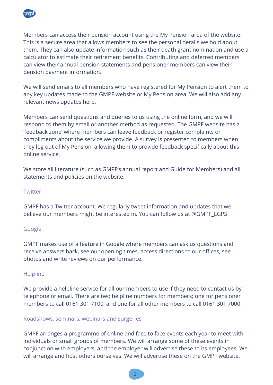

Members can access their pension account using the My Pension area of the website. This is a secure area that allows members to see the personal details we hold about them. They can also update information such as their death grant nomination and use a calculator to estimate their retirement benefits. Contributing and deferred members can view their annual pension statements and pensioner members can view their pension payment information.

We will send emails to all members who have registered for My Pension to alert them to any key updates made to the GMPF website or My Pension area. We will also add any relevant news updates here.

Members can send questions and queries to us using the online form, and we will respond to them by email or another method as requested. The GMPF website has a 'feedback zone' where members can leave feedback or register complaints or compliments about the service we provide. A survey is presented to members when they log out of My Pension, allowing them to provide feedback specifically about this online service.

We store all literature (such as GMPF's annual report and Guide for Members) and all statements and policies on the website.

#### **Twitter**

GMPF has a Twitter account. We regularly tweet information and updates that we believe our members might be interested in. You can follow us at @GMPF\_LGPS

#### Google

GMPF makes use of a feature in Google where members can ask us questions and receive answers back, see our opening times, access directions to our offices, see photos and write reviews on our performance.

#### **Helpline**

We provide a helpline service for all our members to use if they need to contact us by telephone or email. There are two helpline numbers for members; one for pensioner members to call 0161 301 7100, and one for all other members to call 0161 301 7000.

#### Roadshows, seminars, webinars and surgeries

GMPF arranges a programme of online and face to face events each year to meet with individuals or small groups of members. We will arrange some of these events in conjunction with employers, and the employer will advertise these to its employees. We will arrange and host others ourselves. We will advertise these on the GMPF website.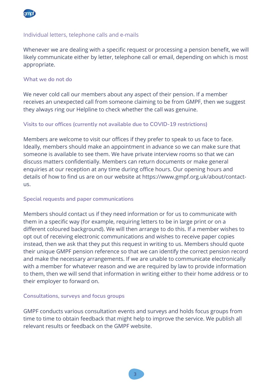

#### Individual letters, telephone calls and e-mails

Whenever we are dealing with a specific request or processing a pension benefit, we will likely communicate either by letter, telephone call or email, depending on which is most appropriate.

#### **What we do not do**

We never cold call our members about any aspect of their pension. If a member receives an unexpected call from someone claiming to be from GMPF, then we suggest they always ring our Helpline to check whether the call was genuine.

#### **Visits to our offices (currently not available due to COVID-19 restrictions)**

Members are welcome to visit our offices if they prefer to speak to us face to face. Ideally, members should make an appointment in advance so we can make sure that someone is available to see them. We have private interview rooms so that we can discuss matters confidentially. Members can return documents or make general enquiries at our reception at any time during office hours. Our opening hours and details of how to find us are on our website at [https://www.gmpf.org.uk/about/contact](https://www.gmpf.org.uk/about/contact-us)[us.](https://www.gmpf.org.uk/about/contact-us)

#### **Special requests and paper communications**

Members should contact us if they need information or for us to communicate with them in a specific way (for example, requiring letters to be in large print or on a different coloured background). We will then arrange to do this. If a member wishes to opt out of receiving electronic communications and wishes to receive paper copies instead, then we ask that they put this request in writing to us. Members should quote their unique GMPF pension reference so that we can identify the correct pension record and make the necessary arrangements. If we are unable to communicate electronically with a member for whatever reason and we are required by law to provide information to them, then we will send that information in writing either to their home address or to their employer to forward on.

#### **Consultations, surveys and focus groups**

GMPF conducts various consultation events and surveys and holds focus groups from time to time to obtain feedback that might help to improve the service. We publish all relevant results or feedback on the GMPF website.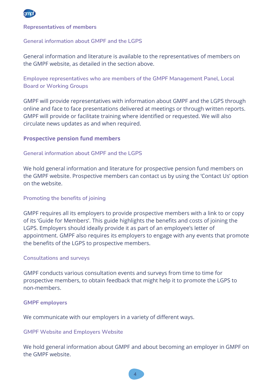

#### **Representatives of members**

#### **General information about GMPF and the LGPS**

General information and literature is available to the representatives of members on the GMPF website, as detailed in the section above.

**Employee representatives who are members of the GMPF Management Panel, Local Board or Working Groups** 

GMPF will provide representatives with information about GMPF and the LGPS through online and face to face presentations delivered at meetings or through written reports. GMPF will provide or facilitate training where identified or requested. We will also circulate news updates as and when required.

#### **Prospective pension fund members**

#### **General information about GMPF and the LGPS**

We hold general information and literature for prospective pension fund members on the GMPF website. Prospective members can contact us by using the 'Contact Us' option on the website.

#### **Promoting the benefits of joining**

GMPF requires all its employers to provide prospective members with a link to or copy of its 'Guide for Members'. This guide highlights the benefits and costs of joining the LGPS. Employers should ideally provide it as part of an employee's letter of appointment. GMPF also requires its employers to engage with any events that promote the benefits of the LGPS to prospective members.

#### **Consultations and surveys**

GMPF conducts various consultation events and surveys from time to time for prospective members, to obtain feedback that might help it to promote the LGPS to non-members.

#### **GMPF employers**

We communicate with our employers in a variety of different ways.

#### **GMPF Website and Employers Website**

We hold general information about GMPF and about becoming an employer in GMPF on the GMPF website.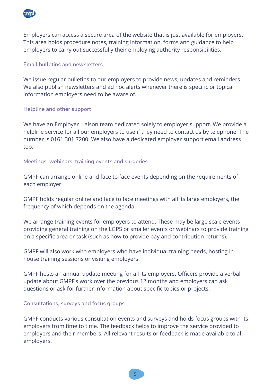

Employers can access a secure area of the website that is just available for employers. This area holds procedure notes, training information, forms and guidance to help employers to carry out successfully their employing authority responsibilities.

#### **Email bulletins and newsletters**

We issue regular bulletins to our employers to provide news, updates and reminders. We also publish newsletters and ad hoc alerts whenever there is specific or topical information employers need to be aware of.

#### **Helpline and other support**

We have an Employer Liaison team dedicated solely to employer support. We provide a helpline service for all our employers to use if they need to contact us by telephone. The number is 0161 301 7200. We also have a dedicated employer support email address too.

**Meetings, webinars, training events and surgeries** 

GMPF can arrange online and face to face events depending on the requirements of each employer.

GMPF holds regular online and face to face meetings with all its large employers, the frequency of which depends on the agenda.

We arrange training events for employers to attend. These may be large scale events providing general training on the LGPS or smaller events or webinars to provide training on a specific area or task (such as how to provide pay and contribution returns).

GMPF will also work with employers who have individual training needs, hosting inhouse training sessions or visiting employers.

GMPF hosts an annual update meeting for all its employers. Officers provide a verbal update about GMPF's work over the previous 12 months and employers can ask questions or ask for further information about specific topics or projects.

#### **Consultations, surveys and focus groups**

GMPF conducts various consultation events and surveys and holds focus groups with its employers from time to time. The feedback helps to improve the service provided to employers and their members. All relevant results or feedback is made available to all employers.